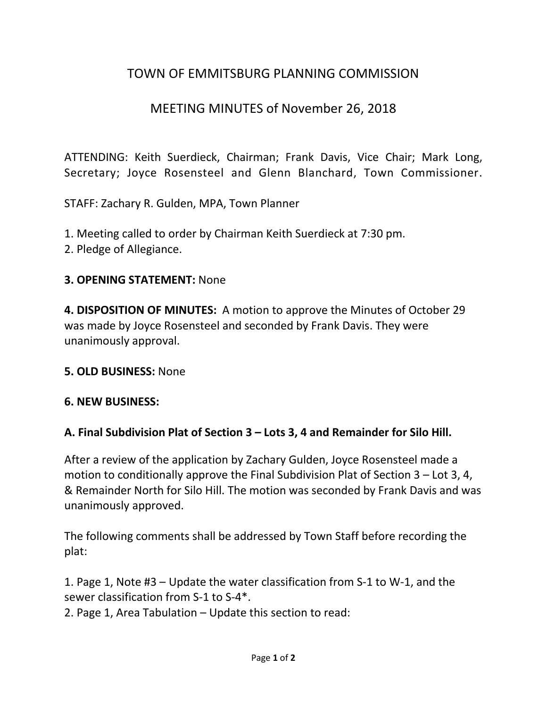# TOWN OF EMMITSBURG PLANNING COMMISSION

## MEETING MINUTES of November 26, 2018

ATTENDING: Keith Suerdieck, Chairman; Frank Davis, Vice Chair; Mark Long, Secretary; Joyce Rosensteel and Glenn Blanchard, Town Commissioner.

STAFF: Zachary R. Gulden, MPA, Town Planner

1. Meeting called to order by Chairman Keith Suerdieck at 7:30 pm.

2. Pledge of Allegiance.

### **3. OPENING STATEMENT:** None

**4. DISPOSITION OF MINUTES:** A motion to approve the Minutes of October 29 was made by Joyce Rosensteel and seconded by Frank Davis. They were unanimously approval.

#### **5. OLD BUSINESS:** None

#### **6. NEW BUSINESS:**

### **A. Final Subdivision Plat of Section 3 – Lots 3, 4 and Remainder for Silo Hill.**

After a review of the application by Zachary Gulden, Joyce Rosensteel made a motion to conditionally approve the Final Subdivision Plat of Section 3 – Lot 3, 4, & Remainder North for Silo Hill. The motion was seconded by Frank Davis and was unanimously approved.

The following comments shall be addressed by Town Staff before recording the plat:

1. Page 1, Note #3 – Update the water classification from S-1 to W-1, and the sewer classification from S-1 to S-4\*.

2. Page 1, Area Tabulation – Update this section to read: